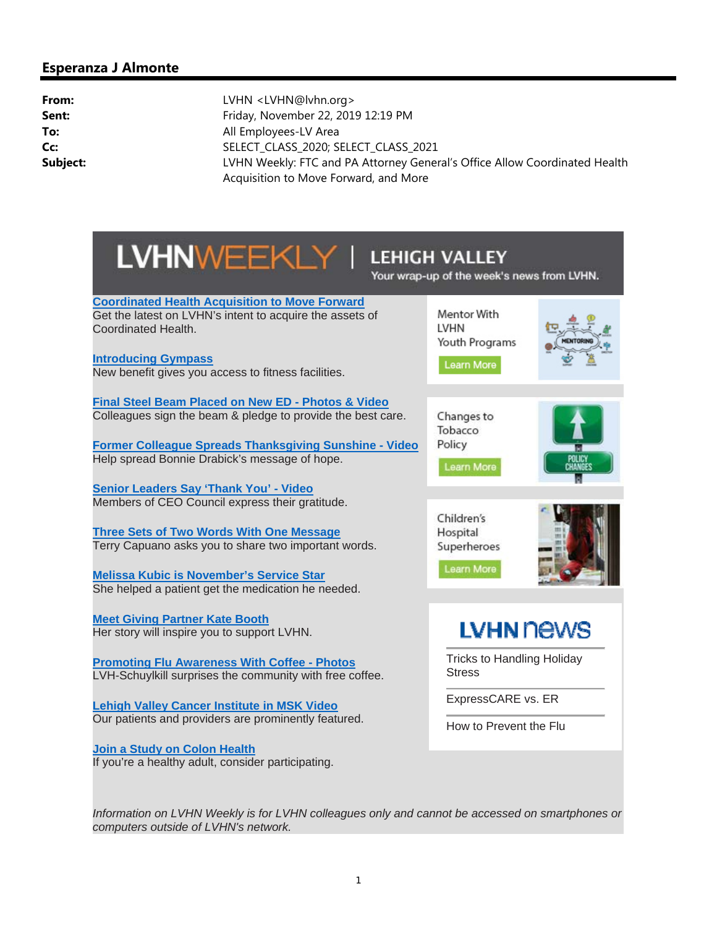

### **LEHIGH VALLEY**

Your wrap-up of the week's news from LVHN.

#### **Coordinated Health Acquisition to Move Forward** Get the latest on LVHN's intent to acquire the assets of Mentor With **LVHN** Coordinated Health. Youth Programs **Introducing Gympass** Learn More New benefit gives you access to fitness facilities. **Final Steel Beam Placed on New ED - Photos & Video**  Colleagues sign the beam & pledge to provide the best care. Changes to Tobacco Policy **Former Colleague Spreads Thanksgiving Sunshine - Video** Help spread Bonnie Drabick's message of hope. Learn More **Senior Leaders Say 'Thank You' - Video**  Members of CEO Council express their gratitude. Children's **Three Sets of Two Words With One Message** Hospital Terry Capuano asks you to share two important words. Superheroes Learn More **Melissa Kubic is November's Service Star** She helped a patient get the medication he needed. **Meet Giving Partner Kate Booth** LVHN NEWS Her story will inspire you to support LVHN. Tricks to Handling Holiday **Promoting Flu Awareness With Coffee - Photos Stress** LVH-Schuylkill surprises the community with free coffee. ExpressCARE vs. ER **Lehigh Valley Cancer Institute in MSK Video**  Our patients and providers are prominently featured. How to Prevent the Flu **Join a Study on Colon Health** If you're a healthy adult, consider participating.

Acquisition to Move Forward, and More

*Information on LVHN Weekly is for LVHN colleagues only and cannot be accessed on smartphones or computers outside of LVHN's network.*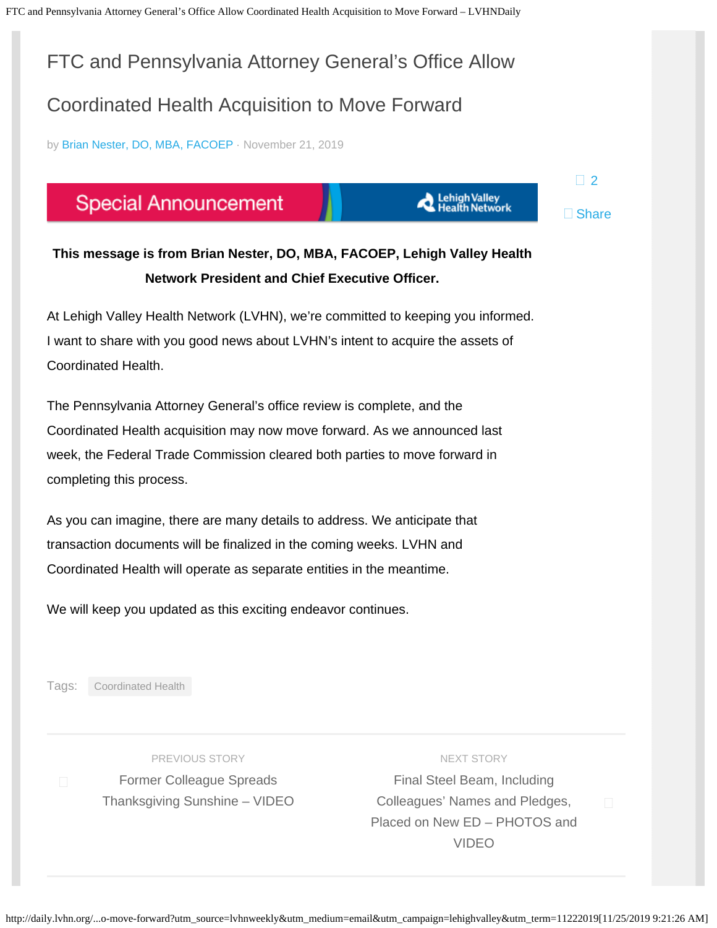# <span id="page-1-0"></span>FTC and Pennsylvania Attorney General's Office Allow

# Coordinated Health Acquisition to Move Forward

by [Brian Nester, DO, MBA, FACOEP](http://daily.lvhn.org/author/brian-nester) · November 21, 2019



Lehigh Valley<br>Health Network

□ Share

 $\Box$ [2](#page-1-0)

### **This message is from Brian Nester, DO, MBA, FACOEP, Lehigh Valley Health Network President and Chief Executive Officer.**

At Lehigh Valley Health Network (LVHN), we're committed to keeping you informed. I want to share with you good news about LVHN's intent to acquire the assets of Coordinated Health.

The Pennsylvania Attorney General's office review is complete, and the Coordinated Health acquisition may now move forward. As we announced last week, the Federal Trade Commission cleared both parties to move forward in completing this process.

As you can imagine, there are many details to address. We anticipate that transaction documents will be finalized in the coming weeks. LVHN and Coordinated Health will operate as separate entities in the meantime.

We will keep you updated as this exciting endeavor continues.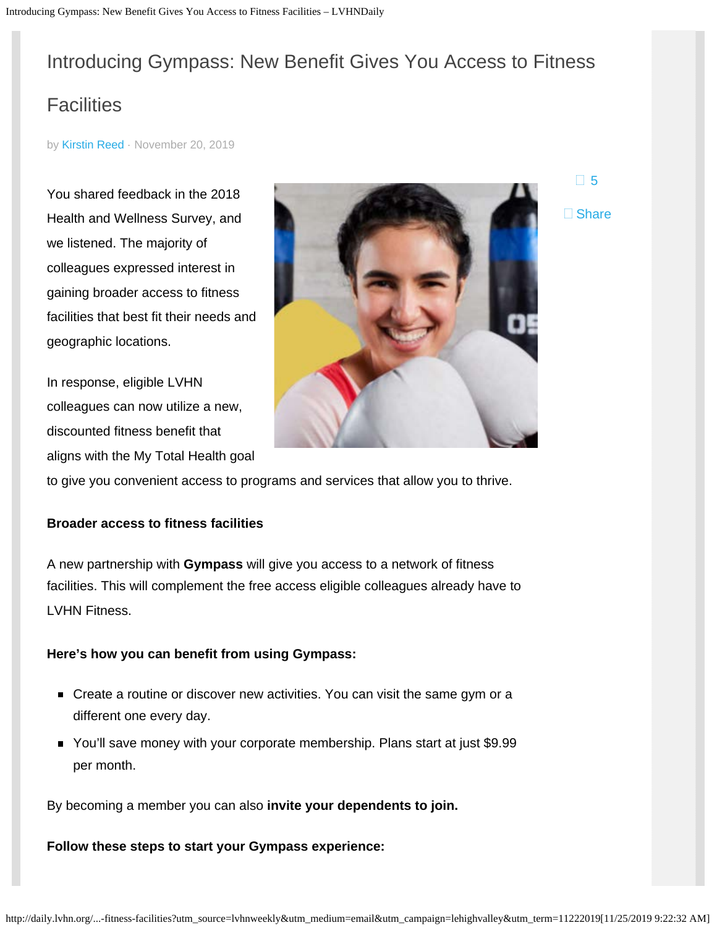# <span id="page-2-0"></span>Introducing Gympass: New Benefit Gives You Access to Fitness

## **Facilities**

by [Kirstin Reed](http://daily.lvhn.org/author/kirstin-reed) · November 20, 2019

You shared feedback in the 2018 Health and Wellness Survey, and we listened. The majority of colleagues expressed interest in gaining broader access to fitness facilities that best fit their needs and geographic locations.

In response, eligible LVHN colleagues can now utilize a new, discounted fitness benefit that aligns with the My Total Health goal



 $\Box$  [5](#page-2-0) **□**Share

to give you convenient access to programs and services that allow you to thrive.

### **Broader access to fitness facilities**

A new partnership with **Gympass** will give you access to a network of fitness facilities. This will complement the free access eligible colleagues already have to LVHN Fitness.

#### **Here's how you can benefit from using Gympass:**

- **Create a routine or discover new activities. You can visit the same gym or a** different one every day.
- You'll save money with your corporate membership. Plans start at just \$9.99 per month.

By becoming a member you can also **invite your dependents to join.**

**Follow these steps to start your Gympass experience:**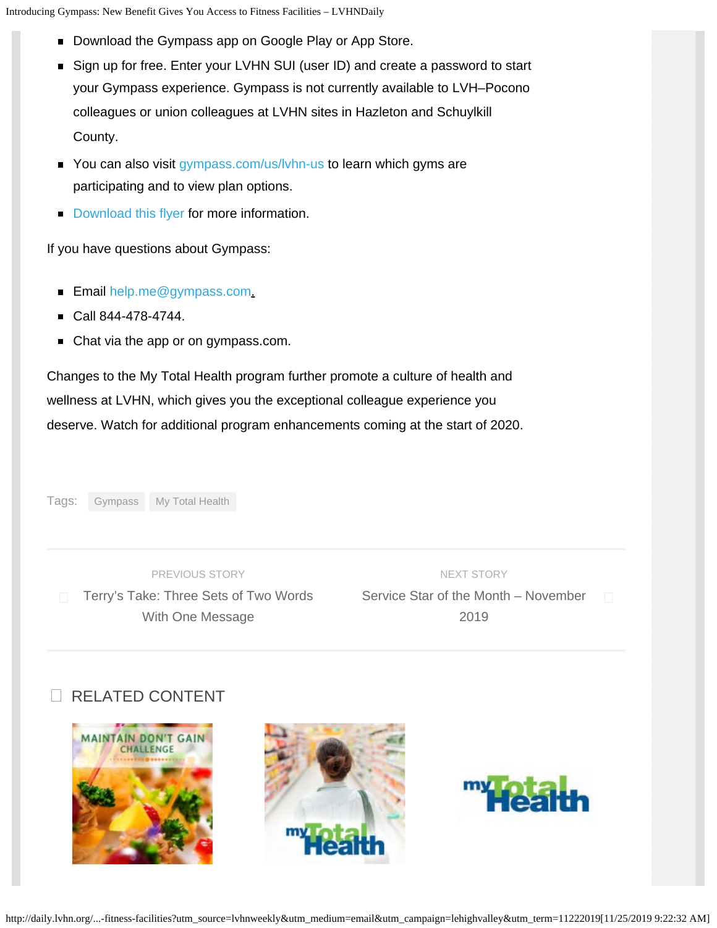- Download the Gympass app on Google Play or App Store.
- Sign up for free. Enter your LVHN SUI (user ID) and create a password to start your Gympass experience. Gympass is not currently available to LVH–Pocono colleagues or union colleagues at LVHN sites in Hazleton and Schuylkill County.
- You can also visit gympass.com/us/lyhn-us to learn which gyms are participating and to view plan options.
- [Download this flyer](http://daily.lvhn.org/wp-content/uploads/2019/11/Gympass.pdf) for more information.

If you have questions about Gympass:

- **Email [help.me@gympass.com](mailto:help.me@gympass.com).**
- Call 844-478-4744
- Chat via the app or on gympass.com.

Changes to the My Total Health program further promote a culture of health and wellness at LVHN, which gives you the exceptional colleague experience you deserve. Watch for additional program enhancements coming at the start of 2020.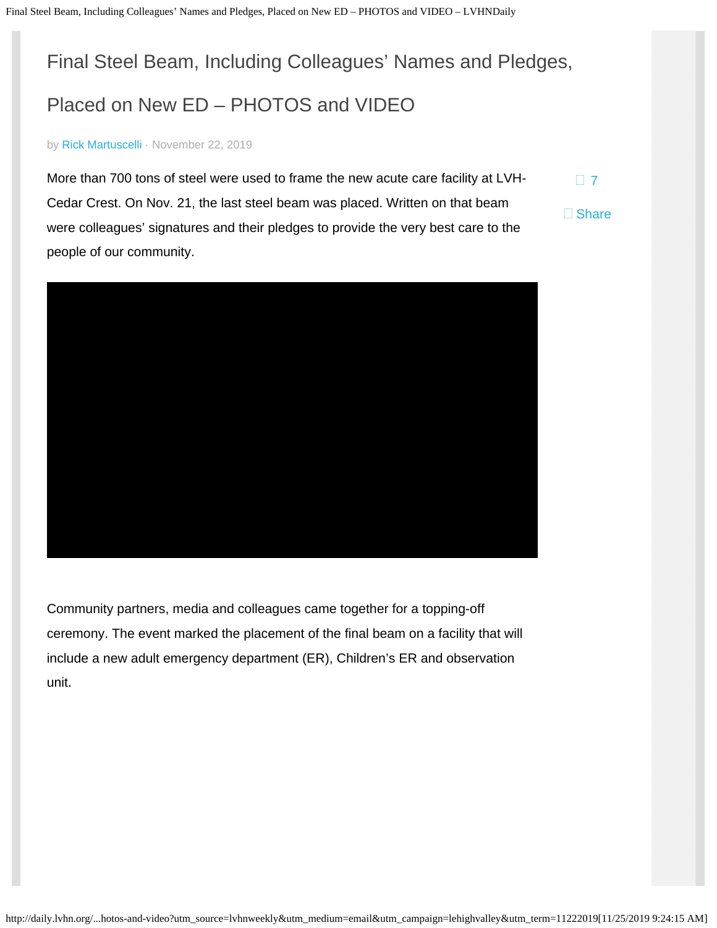<span id="page-4-0"></span>Final Steel Beam, Including Colleagues' Names and Pledges,

# Placed on New ED – PHOTOS and VIDEO

by [Rick Martuscelli](http://daily.lvhn.org/author/rmartuscelli) · November 22, 2019

More than 700 tons of steel were used to frame the new acute care facility at LVH-Cedar Crest. On Nov. 21, the last steel beam was placed. Written on that beam were colleagues' signatures and their pledges to provide the very best care to the people of our community.  $\Box$  [7](#page-4-0) □ Share



Community partners, media and colleagues came together for a topping-off ceremony. The event marked the placement of the final beam on a facility that will include a new adult emergency department (ER), Children's ER and observation unit.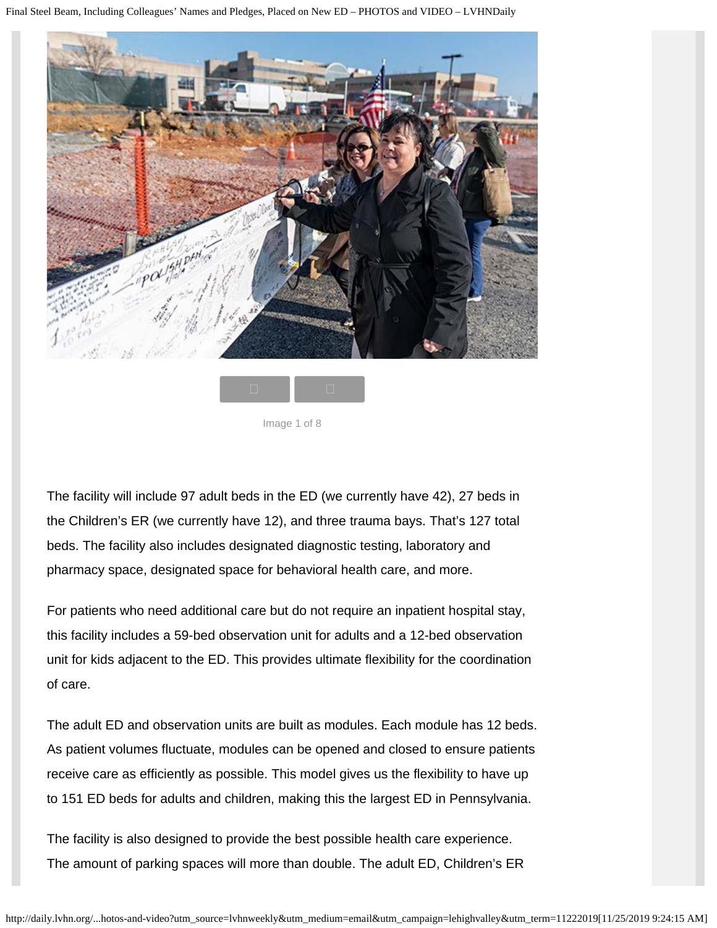



Image 1 of 8

The facility will include 97 adult beds in the ED (we currently have 42), 27 beds in the Children's ER (we currently have 12), and three trauma bays. That's 127 total beds. The facility also includes designated diagnostic testing, laboratory and pharmacy space, designated space for behavioral health care, and more.

For patients who need additional care but do not require an inpatient hospital stay, this facility includes a 59-bed observation unit for adults and a 12-bed observation unit for kids adjacent to the ED. This provides ultimate flexibility for the coordination of care.

The adult ED and observation units are built as modules. Each module has 12 beds. As patient volumes fluctuate, modules can be opened and closed to ensure patients receive care as efficiently as possible. This model gives us the flexibility to have up to 151 ED beds for adults and children, making this the largest ED in Pennsylvania.

The facility is also designed to provide the best possible health care experience. The amount of parking spaces will more than double. The adult ED, Children's ER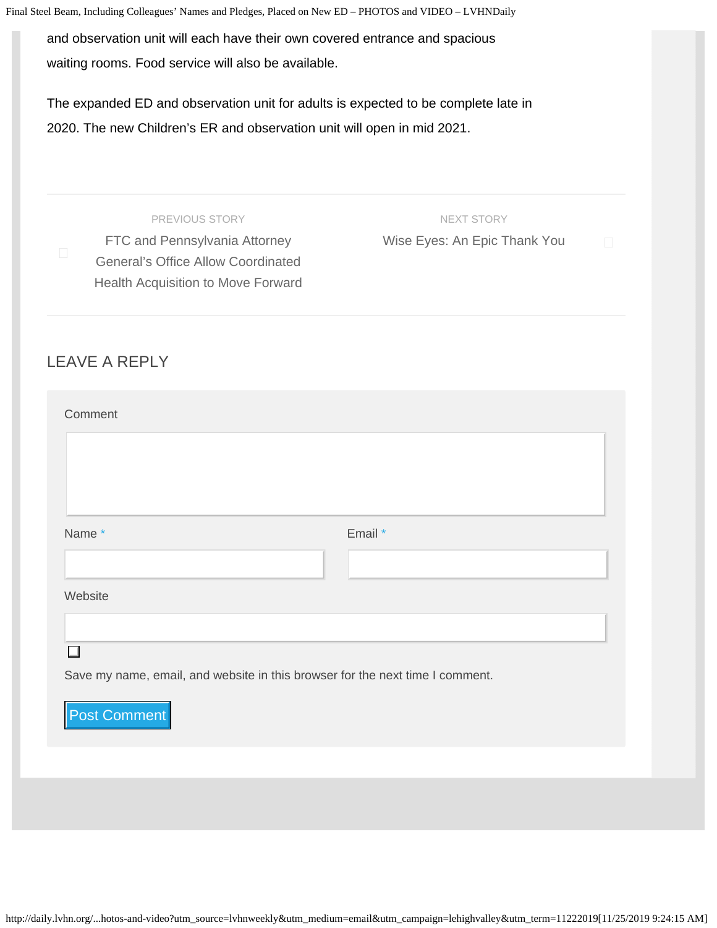and observation unit will each have their own covered entrance and spacious

#### waiting rooms. Food service will also be available.

#### The expanded ED and observation unit for adults is expected to be complete late in

2020. The new Children's ER and observation unit will open in mid 2021.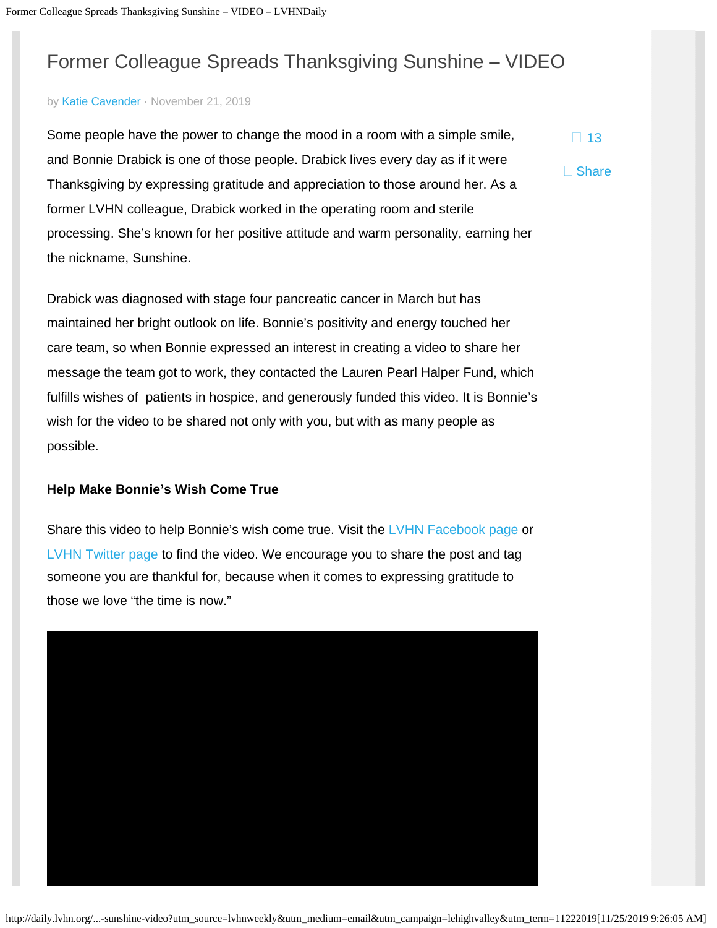# <span id="page-7-0"></span>Former Colleague Spreads Thanksgiving Sunshine – VIDEO

#### by [Katie Cavender](http://daily.lvhn.org/author/katie-cavender) · November 21, 2019

Some people have the power to change the mood in a room with a simple smile, and Bonnie Drabick is one of those people. Drabick lives every day as if it were Thanksgiving by expressing gratitude and appreciation to those around her. As a former LVHN colleague, Drabick worked in the operating room and sterile processing. She's known for her positive attitude and warm personality, earning her the nickname, Sunshine.  $\Box$  [13](#page-7-0) □ Share

Drabick was diagnosed with stage four pancreatic cancer in March but has maintained her bright outlook on life. Bonnie's positivity and energy touched her care team, so when Bonnie expressed an interest in creating a video to share her message the team got to work, they contacted the Lauren Pearl Halper Fund, which fulfills wishes of patients in hospice, and generously funded this video. It is Bonnie's wish for the video to be shared not only with you, but with as many people as possible.

#### **Help Make Bonnie's Wish Come True**

Share this video to help Bonnie's wish come true. Visit the [LVHN Facebook page](https://www.facebook.com/lvhealthnetwork) or [LVHN Twitter page](https://twitter.com/lvhn) to find the video. We encourage you to share the post and tag someone you are thankful for, because when it comes to expressing gratitude to those we love "the time is now."

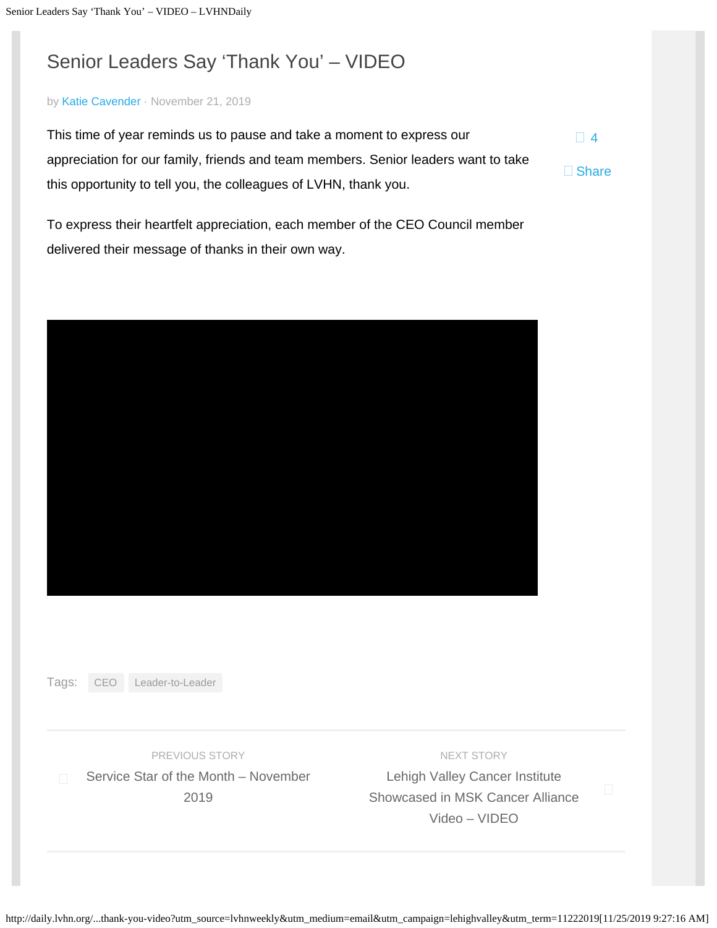# <span id="page-8-0"></span>Senior Leaders Say 'Thank You' – VIDEO

#### by [Katie Cavender](http://daily.lvhn.org/author/katie-cavender) · November 21, 2019

This time of year reminds us to pause and take a moment to express our appreciation for our family, friends and team members. Senior leaders want to take this opportunity to tell you, the colleagues of LVHN, thank you.  $\Box$  [4](#page-8-0) □ Share

To express their heartfelt appreciation, each member of the CEO Council member delivered their message of thanks in their own way.

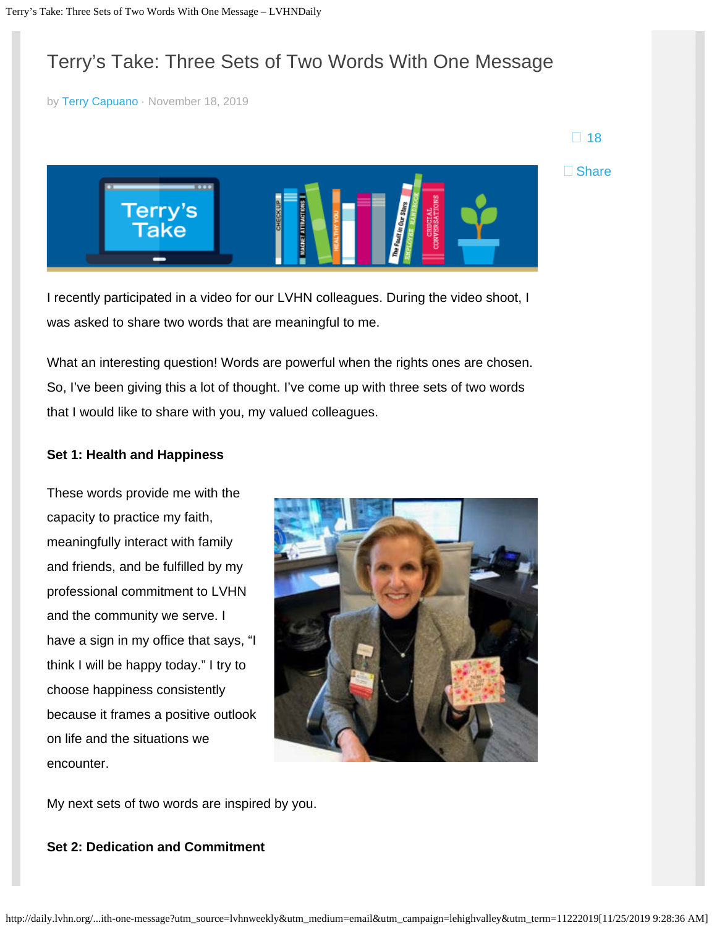# <span id="page-9-0"></span>Terry's Take: Three Sets of Two Words With One Message

by [Terry Capuano](http://daily.lvhn.org/author/terry-capuano) · November 18, 2019



I recently participated in a video for our LVHN colleagues. During the video shoot, I was asked to share two words that are meaningful to me.

What an interesting question! Words are powerful when the rights ones are chosen. So, I've been giving this a lot of thought. I've come up with three sets of two words that I would like to share with you, my valued colleagues.

### **Set 1: Health and Happiness**

These words provide me with the capacity to practice my faith, meaningfully interact with family and friends, and be fulfilled by my professional commitment to LVHN and the community we serve. I have a sign in my office that says, "I think I will be happy today." I try to choose happiness consistently because it frames a positive outlook on life and the situations we encounter.



 $\Box$  [18](#page-9-0)

My next sets of two words are inspired by you.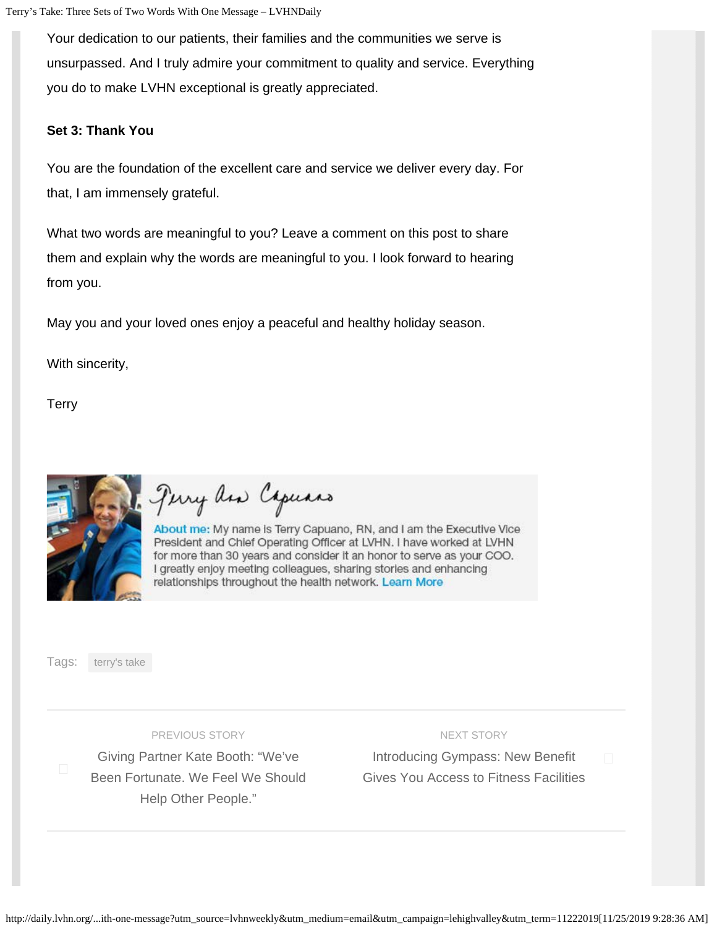Your dedication to our patients, their families and the communities we serve is unsurpassed. And I truly admire your commitment to quality and service. Everything you do to make LVHN exceptional is greatly appreciated.

### **Set 3: Thank You**

You are the foundation of the excellent care and service we deliver every day. For that, I am immensely grateful.

What two words are meaningful to you? Leave a comment on this post to share them and explain why the words are meaningful to you. I look forward to hearing from you.

May you and your loved ones enjoy a peaceful and healthy holiday season.

With sincerity,

**Terry** 



Jerry and Capuars

About me: My name is Terry Capuano, RN, and I am the Executive Vice President and Chief Operating Officer at LVHN. I have worked at LVHN for more than 30 years and consider it an honor to serve as your COO. I greatly enjoy meeting colleagues, sharing stories and enhancing relationships throughout the health network. Learn More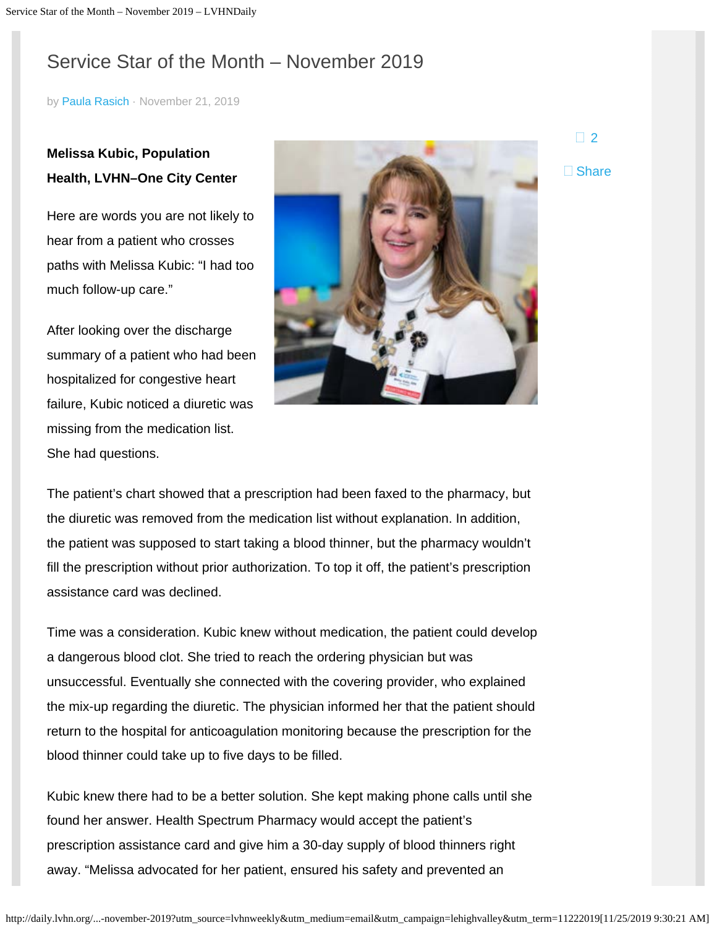### <span id="page-11-0"></span>Service Star of the Month – November 2019

by [Paula Rasich](http://daily.lvhn.org/author/paula-rasich) · November 21, 2019

### **Melissa Kubic, Population Health, LVHN–One City Center**

Here are words you are not likely to hear from a patient who crosses paths with Melissa Kubic: "I had too much follow-up care."

After looking over the discharge summary of a patient who had been hospitalized for congestive heart failure, Kubic noticed a diuretic was missing from the medication list. She had questions.



The patient's chart showed that a prescription had been faxed to the pharmacy, but the diuretic was removed from the medication list without explanation. In addition, the patient was supposed to start taking a blood thinner, but the pharmacy wouldn't fill the prescription without prior authorization. To top it off, the patient's prescription assistance card was declined.

Time was a consideration. Kubic knew without medication, the patient could develop a dangerous blood clot. She tried to reach the ordering physician but was unsuccessful. Eventually she connected with the covering provider, who explained the mix-up regarding the diuretic. The physician informed her that the patient should return to the hospital for anticoagulation monitoring because the prescription for the blood thinner could take up to five days to be filled.

Kubic knew there had to be a better solution. She kept making phone calls until she found her answer. Health Spectrum Pharmacy would accept the patient's prescription assistance card and give him a 30-day supply of blood thinners right away. "Melissa advocated for her patient, ensured his safety and prevented an

 $\Box$  [2](#page-11-0) □ Share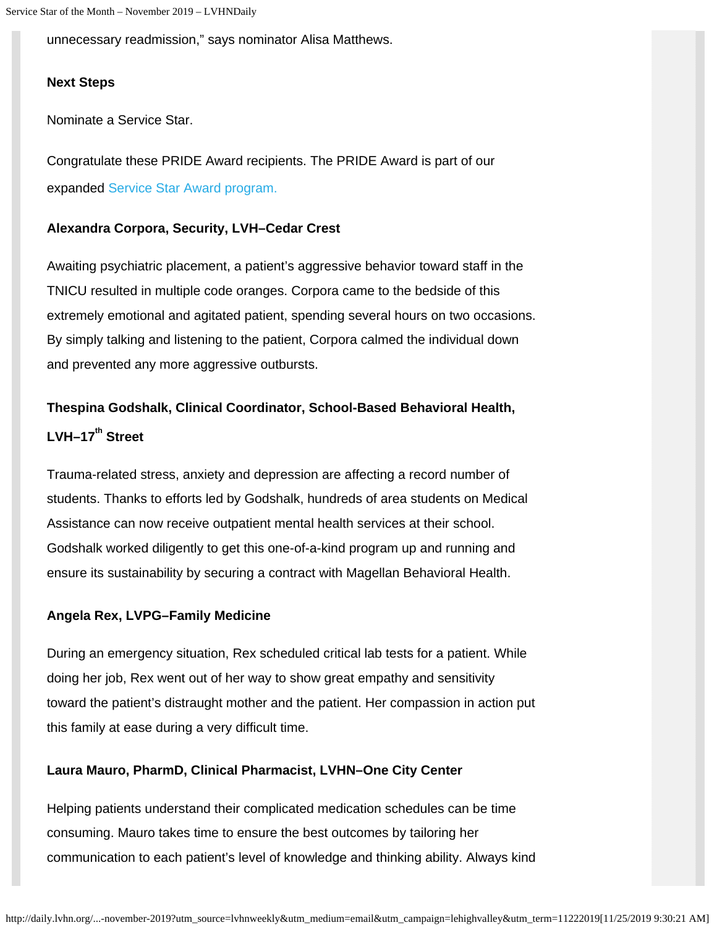unnecessary readmission," says nominator Alisa Matthews.

#### **Next Steps**

Nominate a Service Star.

Congratulate these PRIDE Award recipients. The PRIDE Award is part of our expanded [Service Star Award program.](http://daily.lvhn.org/stories-about-colleagues/service-star-award-program-expands-to-include-all-colleagues)

### **Alexandra Corpora, Security, LVH–Cedar Crest**

Awaiting psychiatric placement, a patient's aggressive behavior toward staff in the TNICU resulted in multiple code oranges. Corpora came to the bedside of this extremely emotional and agitated patient, spending several hours on two occasions. By simply talking and listening to the patient, Corpora calmed the individual down and prevented any more aggressive outbursts.

# **Thespina Godshalk, Clinical Coordinator, School-Based Behavioral Health, LVH–17th Street**

Trauma-related stress, anxiety and depression are affecting a record number of students. Thanks to efforts led by Godshalk, hundreds of area students on Medical Assistance can now receive outpatient mental health services at their school. Godshalk worked diligently to get this one-of-a-kind program up and running and ensure its sustainability by securing a contract with Magellan Behavioral Health.

### **Angela Rex, LVPG–Family Medicine**

During an emergency situation, Rex scheduled critical lab tests for a patient. While doing her job, Rex went out of her way to show great empathy and sensitivity toward the patient's distraught mother and the patient. Her compassion in action put this family at ease during a very difficult time.

#### **Laura Mauro, PharmD, Clinical Pharmacist, LVHN–One City Center**

Helping patients understand their complicated medication schedules can be time consuming. Mauro takes time to ensure the best outcomes by tailoring her communication to each patient's level of knowledge and thinking ability. Always kind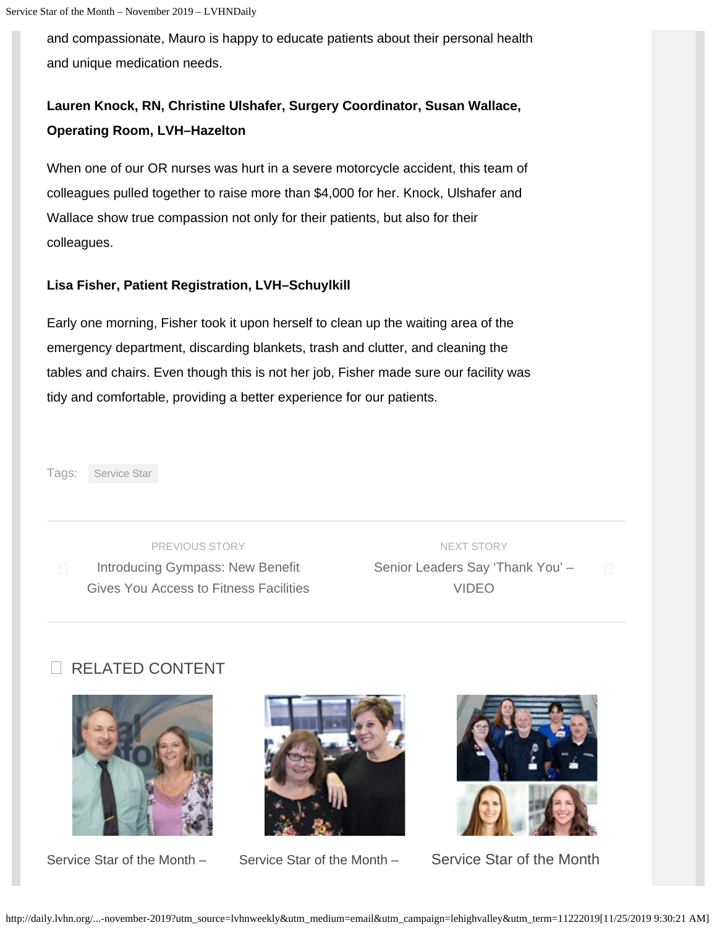and compassionate, Mauro is happy to educate patients about their personal health and unique medication needs.

### **Lauren Knock, RN, Christine Ulshafer, Surgery Coordinator, Susan Wallace, Operating Room, LVH–Hazelton**

When one of our OR nurses was hurt in a severe motorcycle accident, this team of colleagues pulled together to raise more than \$4,000 for her. Knock, Ulshafer and Wallace show true compassion not only for their patients, but also for their colleagues.

### **Lisa Fisher, Patient Registration, LVH–Schuylkill**

Early one morning, Fisher took it upon herself to clean up the waiting area of the emergency department, discarding blankets, trash and clutter, and cleaning the tables and chairs. Even though this is not her job, Fisher made sure our facility was tidy and comfortable, providing a better experience for our patients.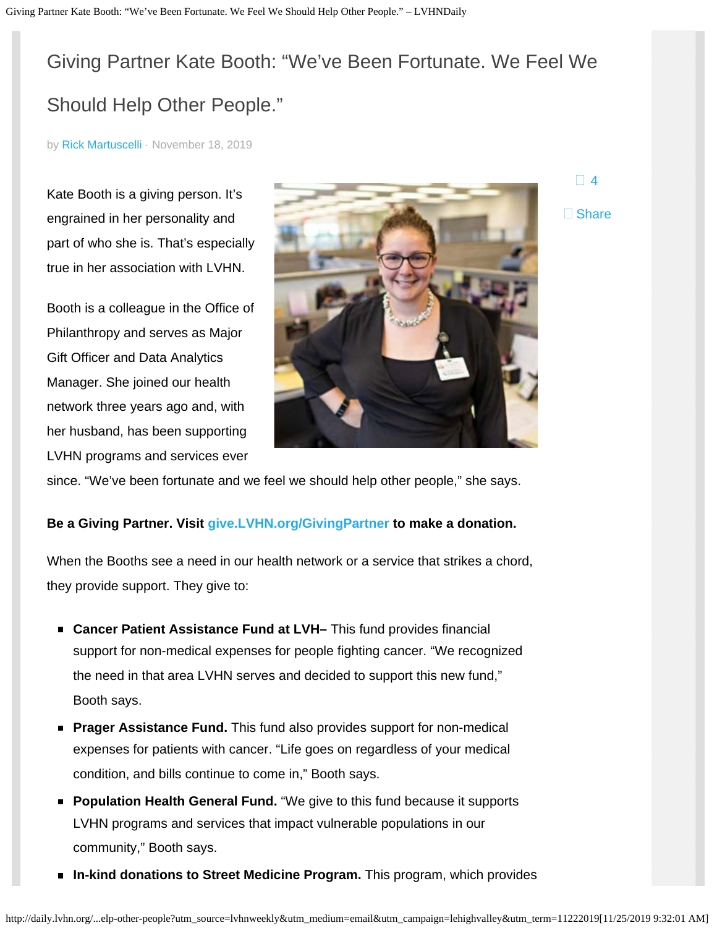# <span id="page-14-0"></span>Giving Partner Kate Booth: "We've Been Fortunate. We Feel We Should Help Other People."

by [Rick Martuscelli](http://daily.lvhn.org/author/rmartuscelli) · November 18, 2019

Kate Booth is a giving person. It's engrained in her personality and part of who she is. That's especially true in her association with LVHN.

Booth is a colleague in the Office of Philanthropy and serves as Major Gift Officer and Data Analytics Manager. She joined our health network three years ago and, with her husband, has been supporting LVHN programs and services ever



 $\Box$  [4](#page-14-0) □ Share

since. "We've been fortunate and we feel we should help other people," she says.

#### **Be a Giving Partner. Visit [give.LVHN.org/GivingPartner](https://give.lvhn.org/s/1787/network/interior.aspx?sid=1787&gid=1&pgid=685) to make a donation.**

When the Booths see a need in our health network or a service that strikes a chord, they provide support. They give to:

- **Cancer Patient Assistance Fund at LVH–** This fund provides financial support for non-medical expenses for people fighting cancer. "We recognized the need in that area LVHN serves and decided to support this new fund," Booth says.
- **Prager Assistance Fund.** This fund also provides support for non-medical expenses for patients with cancer. "Life goes on regardless of your medical condition, and bills continue to come in," Booth says.
- **Population Health General Fund.** "We give to this fund because it supports LVHN programs and services that impact vulnerable populations in our community," Booth says.
- **In-kind donations to Street Medicine Program.** This program, which provides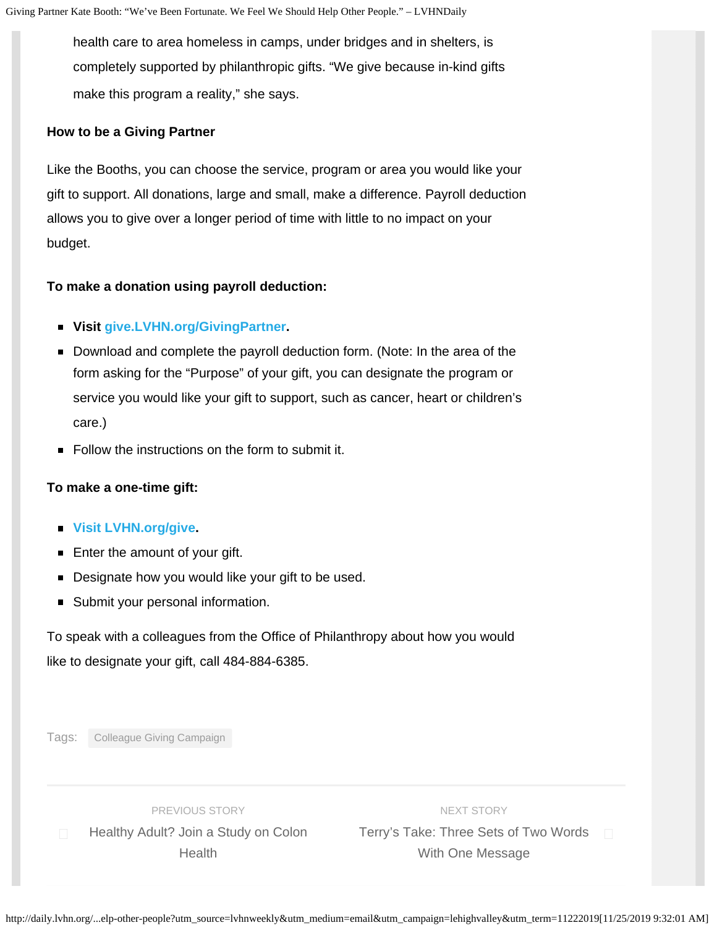health care to area homeless in camps, under bridges and in shelters, is completely supported by philanthropic gifts. "We give because in-kind gifts make this program a reality," she says.

#### **How to be a Giving Partner**

Like the Booths, you can choose the service, program or area you would like your gift to support. All donations, large and small, make a difference. Payroll deduction allows you to give over a longer period of time with little to no impact on your budget.

### **To make a donation using payroll deduction:**

- **Visit [give.LVHN.org/GivingPartner](https://give.lvhn.org/s/1787/network/interior.aspx?sid=1787&gid=1&pgid=685).**
- Download and complete the payroll deduction form. (Note: In the area of the form asking for the "Purpose" of your gift, you can designate the program or service you would like your gift to support, such as cancer, heart or children's care.)
- **Follow the instructions on the form to submit it.**

### **To make a one-time gift:**

- **[Visit LVHN.org/give.](https://securelb.imodules.com/s/1787/form/interior.aspx?sid=1787&gid=1&pgid=396&cid=1015)**
- $\blacksquare$  Enter the amount of your gift.
- Designate how you would like your gift to be used.
- Submit your personal information.

To speak with a colleagues from the Office of Philanthropy about how you would like to designate your gift, call 484-884-6385.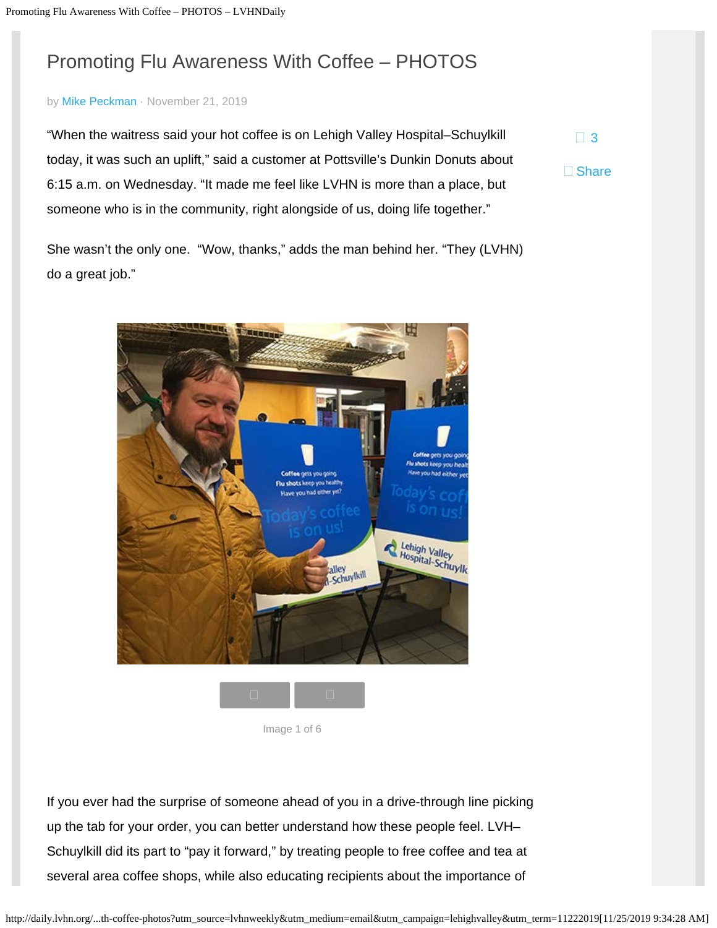# <span id="page-16-0"></span>Promoting Flu Awareness With Coffee – PHOTOS

#### by [Mike Peckman](http://daily.lvhn.org/author/mike-peckman) · November 21, 2019

"When the waitress said your hot coffee is on Lehigh Valley Hospital–Schuylkill today, it was such an uplift," said a customer at Pottsville's Dunkin Donuts about 6:15 a.m. on Wednesday. "It made me feel like LVHN is more than a place, but someone who is in the community, right alongside of us, doing life together."  $\Box$  [3](#page-16-0) □ Share

She wasn't the only one. "Wow, thanks," adds the man behind her. "They (LVHN) do a great job."





If you ever had the surprise of someone ahead of you in a drive-through line picking up the tab for your order, you can better understand how these people feel. LVH– Schuylkill did its part to "pay it forward," by treating people to free coffee and tea at several area coffee shops, while also educating recipients about the importance of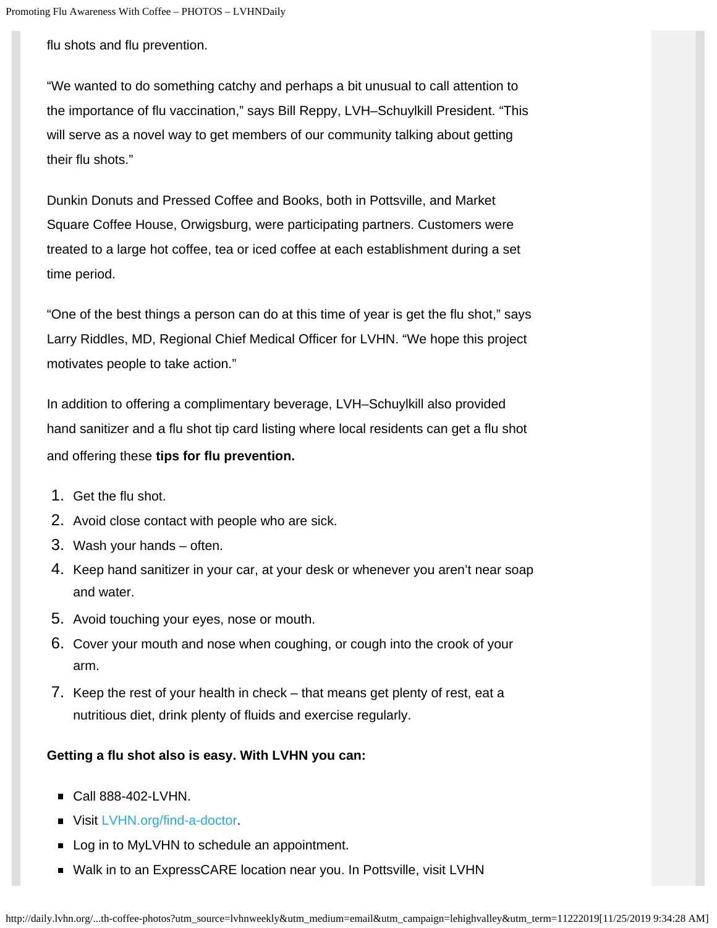flu shots and flu prevention.

"We wanted to do something catchy and perhaps a bit unusual to call attention to the importance of flu vaccination," says Bill Reppy, LVH–Schuylkill President. "This will serve as a novel way to get members of our community talking about getting their flu shots."

Dunkin Donuts and Pressed Coffee and Books, both in Pottsville, and Market Square Coffee House, Orwigsburg, were participating partners. Customers were treated to a large hot coffee, tea or iced coffee at each establishment during a set time period.

"One of the best things a person can do at this time of year is get the flu shot," says Larry Riddles, MD, Regional Chief Medical Officer for LVHN. "We hope this project motivates people to take action."

In addition to offering a complimentary beverage, LVH–Schuylkill also provided hand sanitizer and a flu shot tip card listing where local residents can get a flu shot and offering these **tips for flu prevention.**

- 1. Get the flu shot.
- 2. Avoid close contact with people who are sick.
- 3. Wash your hands often.
- 4. Keep hand sanitizer in your car, at your desk or whenever you aren't near soap and water.
- 5. Avoid touching your eyes, nose or mouth.
- 6. Cover your mouth and nose when coughing, or cough into the crook of your arm.
- 7. Keep the rest of your health in check that means get plenty of rest, eat a nutritious diet, drink plenty of fluids and exercise regularly.

### **Getting a flu shot also is easy. With LVHN you can:**

- Call 888-402-LVHN.
- Visit [LVHN.org/find-a-doctor.](https://www.lvhn.org/find-a-doctor)
- Log in to MyLVHN to schedule an appointment.
- Walk in to an ExpressCARE location near you. In Pottsville, visit LVHN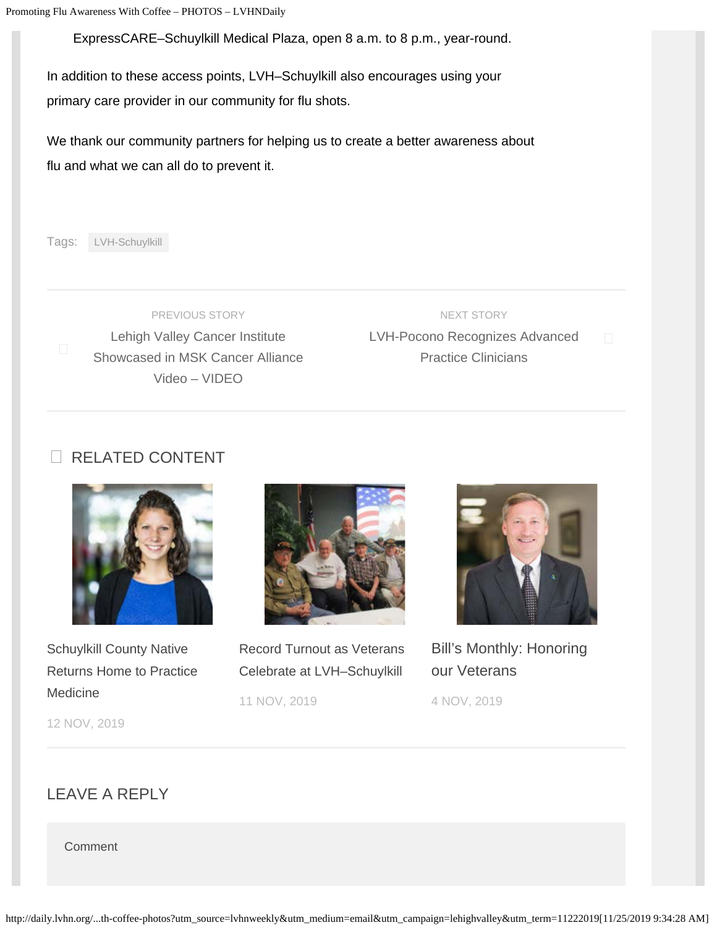#### ExpressCARE–Schuylkill Medical Plaza, open 8 a.m. to 8 p.m., year-round.

In addition to these access points, LVH–Schuylkill also encourages using your

primary care provider in our community for flu shots.

We thank our community partners for helping us to create a better awareness about flu and what we can all do to prevent it.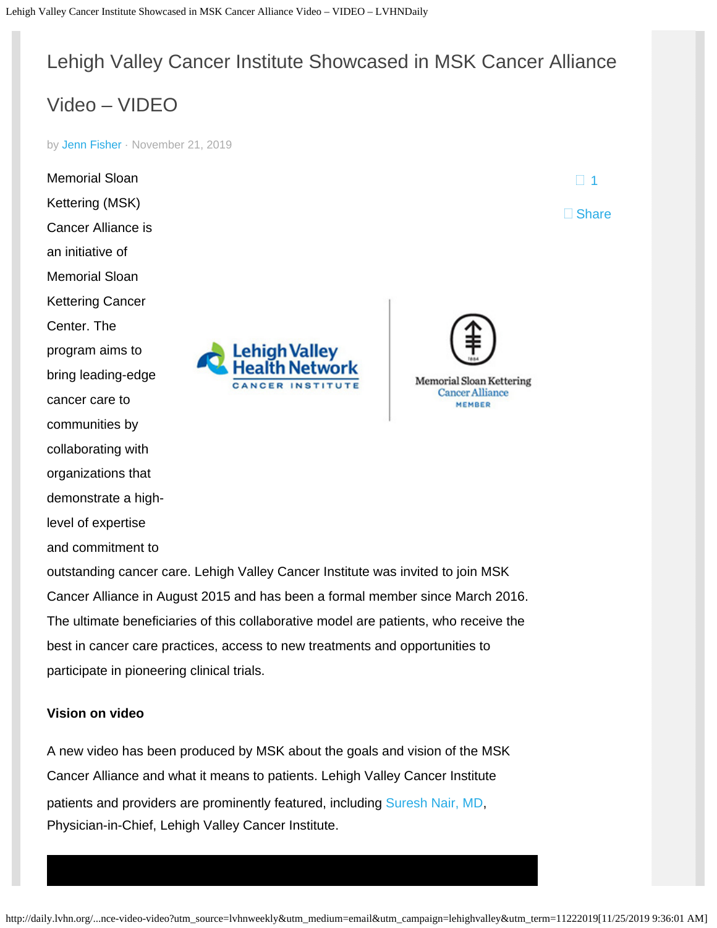<span id="page-19-0"></span>Lehigh Valley Cancer Institute Showcased in MSK Cancer Alliance

### Video – VIDEO

by [Jenn Fisher](http://daily.lvhn.org/author/jfisher) · November 21, 2019

Memorial Sloan Kettering (MSK) Cancer Alliance is an initiative of Memorial Sloan Kettering Cancer Center. The program aims to bring leading-edge cancer care to communities by collaborating with organizations that demonstrate a highlevel of expertise and commitment to



Memorial Sloan Kettering **Cancer Alliance MEMBER** 

 $\Box$  [1](#page-19-0)

□ Share

outstanding cancer care. Lehigh Valley Cancer Institute was invited to join MSK Cancer Alliance in August 2015 and has been a formal member since March 2016. The ultimate beneficiaries of this collaborative model are patients, who receive the best in cancer care practices, access to new treatments and opportunities to participate in pioneering clinical trials.

### **Vision on video**

A new video has been produced by MSK about the goals and vision of the MSK Cancer Alliance and what it means to patients. Lehigh Valley Cancer Institute patients and providers are prominently featured, including [Suresh Nair, MD,](https://www.lvhn.org/doctors/suresh-nair) Physician-in-Chief, Lehigh Valley Cancer Institute.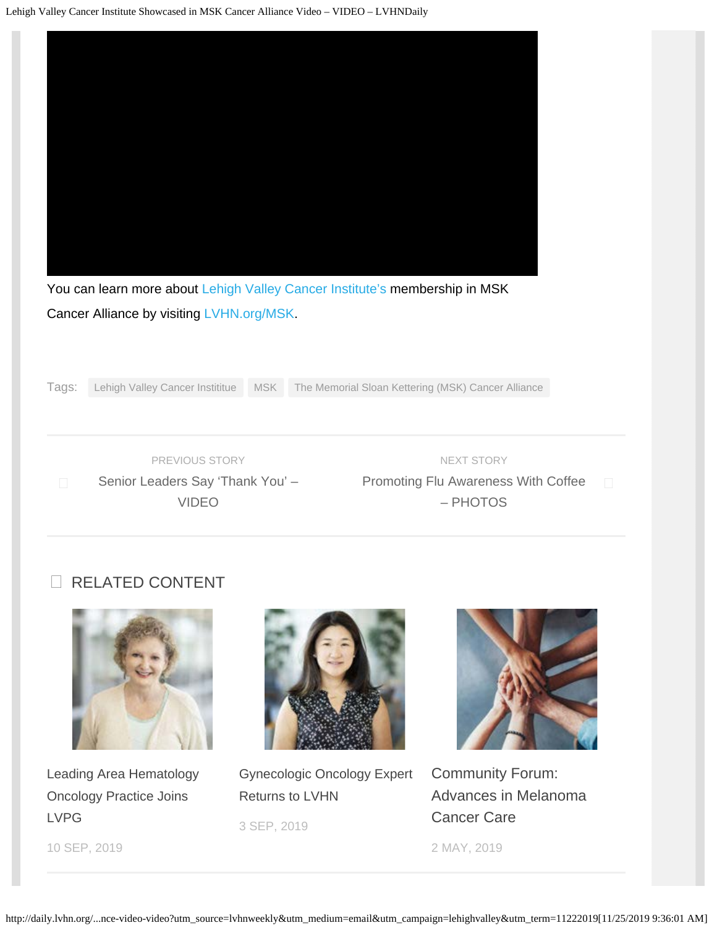

You can learn more about [Lehigh Valley Cancer Institute's](https://www.lvhn.org/institutes/lehigh-valley-cancer-institute) membership in MSK

Cancer Alliance by visiting [LVHN.org/MSK](https://www.lvhn.org/memorial-sloan-kettering-msk-cancer-alliance).